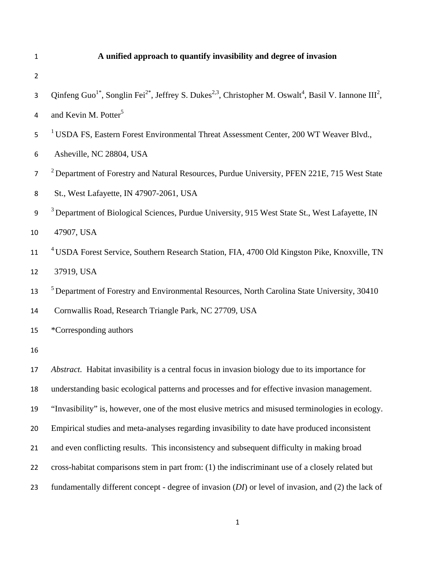### **A unified approach to quantify invasibility and degree of invasion**

- 
- 3 Qinfeng Guo<sup>1\*</sup>, Songlin Fei<sup>2\*</sup>, Jeffrey S. Dukes<sup>2,3</sup>, Christopher M. Oswalt<sup>4</sup>, Basil V. Iannone III<sup>2</sup>,
- 4 and Kevin M. Potter<sup>5</sup>
- <sup>1</sup> USDA FS, Eastern Forest Environmental Threat Assessment Center, 200 WT Weaver Blvd.,
- Asheville, NC 28804, USA
- <sup>2</sup> Department of Forestry and Natural Resources, Purdue University, PFEN 221E, 715 West State
- St., West Lafayette, IN 47907-2061, USA
- <sup>3</sup> Department of Biological Sciences, Purdue University, 915 West State St., West Lafayette, IN
- 47907, USA
- <sup>4</sup> USDA Forest Service, Southern Research Station, FIA, 4700 Old Kingston Pike, Knoxville, TN
- 37919, USA
- <sup>5</sup> Department of Forestry and Environmental Resources, North Carolina State University, 30410
- Cornwallis Road, Research Triangle Park, NC 27709, USA
- \*Corresponding authors
- 

*Abstract.* Habitat invasibility is a central focus in invasion biology due to its importance for understanding basic ecological patterns and processes and for effective invasion management. "Invasibility" is, however, one of the most elusive metrics and misused terminologies in ecology. Empirical studies and meta-analyses regarding invasibility to date have produced inconsistent and even conflicting results. This inconsistency and subsequent difficulty in making broad cross-habitat comparisons stem in part from: (1) the indiscriminant use of a closely related but fundamentally different concept - degree of invasion (*DI*) or level of invasion, and (2) the lack of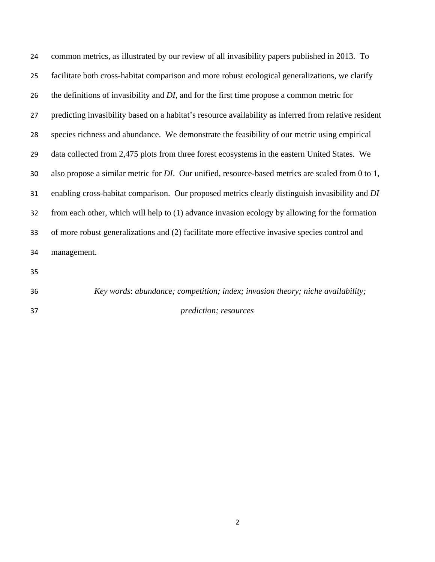| 24  | common metrics, as illustrated by our review of all invasibility papers published in 2013. To             |  |
|-----|-----------------------------------------------------------------------------------------------------------|--|
| 25  | facilitate both cross-habitat comparison and more robust ecological generalizations, we clarify           |  |
| 26  | the definitions of invasibility and DI, and for the first time propose a common metric for                |  |
| 27  | predicting invasibility based on a habitat's resource availability as inferred from relative resident     |  |
| 28  | species richness and abundance. We demonstrate the feasibility of our metric using empirical              |  |
| 29  | data collected from 2,475 plots from three forest ecosystems in the eastern United States. We             |  |
| 30  | also propose a similar metric for <i>DI</i> . Our unified, resource-based metrics are scaled from 0 to 1, |  |
| 31  | enabling cross-habitat comparison. Our proposed metrics clearly distinguish invasibility and DI           |  |
| 32  | from each other, which will help to (1) advance invasion ecology by allowing for the formation            |  |
| 33  | of more robust generalizations and (2) facilitate more effective invasive species control and             |  |
| 34  | management.                                                                                               |  |
| 35. |                                                                                                           |  |

*Key words*: *abundance; competition; index; invasion theory; niche availability; prediction; resources*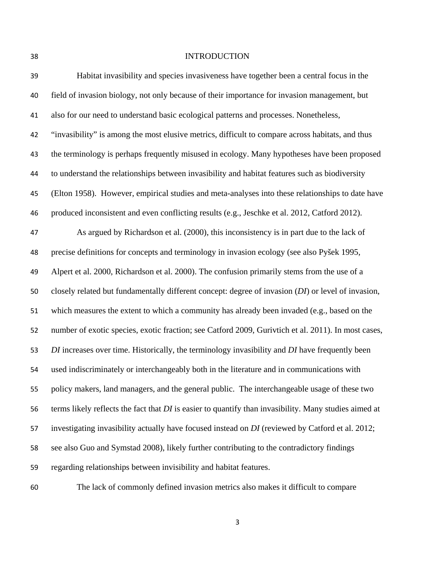# INTRODUCTION

| 39 | Habitat invasibility and species invasiveness have together been a central focus in the               |  |  |
|----|-------------------------------------------------------------------------------------------------------|--|--|
| 40 | field of invasion biology, not only because of their importance for invasion management, but          |  |  |
| 41 | also for our need to understand basic ecological patterns and processes. Nonetheless,                 |  |  |
| 42 | "invasibility" is among the most elusive metrics, difficult to compare across habitats, and thus      |  |  |
| 43 | the terminology is perhaps frequently misused in ecology. Many hypotheses have been proposed          |  |  |
| 44 | to understand the relationships between invasibility and habitat features such as biodiversity        |  |  |
| 45 | (Elton 1958). However, empirical studies and meta-analyses into these relationships to date have      |  |  |
| 46 | produced inconsistent and even conflicting results (e.g., Jeschke et al. 2012, Catford 2012).         |  |  |
| 47 | As argued by Richardson et al. (2000), this inconsistency is in part due to the lack of               |  |  |
| 48 | precise definitions for concepts and terminology in invasion ecology (see also Pyšek 1995,            |  |  |
| 49 | Alpert et al. 2000, Richardson et al. 2000). The confusion primarily stems from the use of a          |  |  |
| 50 | closely related but fundamentally different concept: degree of invasion (DI) or level of invasion,    |  |  |
| 51 | which measures the extent to which a community has already been invaded (e.g., based on the           |  |  |
| 52 | number of exotic species, exotic fraction; see Catford 2009, Gurivtich et al. 2011). In most cases,   |  |  |
| 53 | DI increases over time. Historically, the terminology invasibility and DI have frequently been        |  |  |
| 54 | used indiscriminately or interchangeably both in the literature and in communications with            |  |  |
| 55 | policy makers, land managers, and the general public. The interchangeable usage of these two          |  |  |
| 56 | terms likely reflects the fact that DI is easier to quantify than invasibility. Many studies aimed at |  |  |
| 57 | investigating invasibility actually have focused instead on DI (reviewed by Catford et al. 2012;      |  |  |
| 58 | see also Guo and Symstad 2008), likely further contributing to the contradictory findings             |  |  |
| 59 | regarding relationships between invisibility and habitat features.                                    |  |  |
|    |                                                                                                       |  |  |

The lack of commonly defined invasion metrics also makes it difficult to compare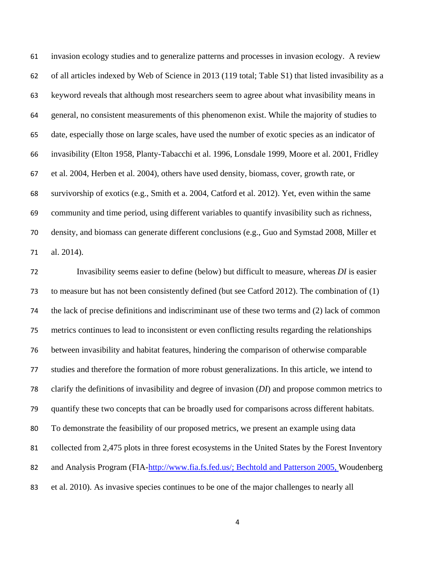invasion ecology studies and to generalize patterns and processes in invasion ecology. A review of all articles indexed by Web of Science in 2013 (119 total; Table S1) that listed invasibility as a keyword reveals that although most researchers seem to agree about what invasibility means in general, no consistent measurements of this phenomenon exist. While the majority of studies to date, especially those on large scales, have used the number of exotic species as an indicator of invasibility (Elton 1958, Planty-Tabacchi et al. 1996, Lonsdale 1999, Moore et al. 2001, Fridley et al. 2004, Herben et al. 2004), others have used density, biomass, cover, growth rate, or survivorship of exotics (e.g., Smith et a. 2004, Catford et al. 2012). Yet, even within the same community and time period, using different variables to quantify invasibility such as richness, density, and biomass can generate different conclusions (e.g., Guo and Symstad 2008, Miller et al. 2014).

Invasibility seems easier to define (below) but difficult to measure, whereas *DI* is easier to measure but has not been consistently defined (but see Catford 2012). The combination of (1) the lack of precise definitions and indiscriminant use of these two terms and (2) lack of common metrics continues to lead to inconsistent or even conflicting results regarding the relationships between invasibility and habitat features, hindering the comparison of otherwise comparable studies and therefore the formation of more robust generalizations. In this article, we intend to clarify the definitions of invasibility and degree of invasion (*DI*) and propose common metrics to quantify these two concepts that can be broadly used for comparisons across different habitats. To demonstrate the feasibility of our proposed metrics, we present an example using data collected from 2,475 plots in three forest ecosystems in the United States by the Forest Inventory 82 and Analysis Program (FIA-http://www.fia.fs.fed.us/; Bechtold and Patterson 2005, Woudenberg et al. 2010). As invasive species continues to be one of the major challenges to nearly all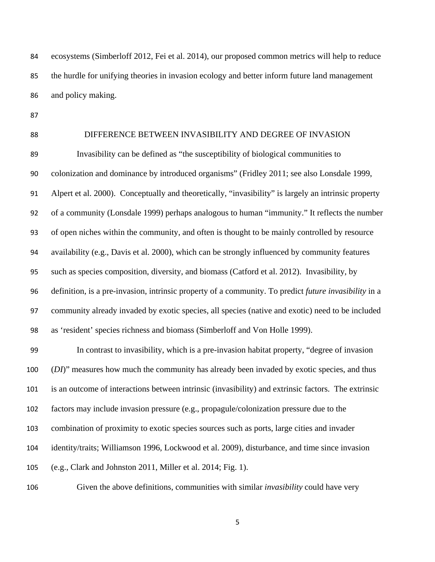ecosystems (Simberloff 2012, Fei et al. 2014), our proposed common metrics will help to reduce the hurdle for unifying theories in invasion ecology and better inform future land management and policy making.

# DIFFERENCE BETWEEN INVASIBILITY AND DEGREE OF INVASION

Invasibility can be defined as "the susceptibility of biological communities to colonization and dominance by introduced organisms" (Fridley 2011; see also Lonsdale 1999, Alpert et al. 2000). Conceptually and theoretically, "invasibility" is largely an intrinsic property of a community (Lonsdale 1999) perhaps analogous to human "immunity." It reflects the number of open niches within the community, and often is thought to be mainly controlled by resource availability (e.g., Davis et al. 2000), which can be strongly influenced by community features such as species composition, diversity, and biomass (Catford et al. 2012). Invasibility, by definition, is a pre-invasion, intrinsic property of a community. To predict *future invasibility* in a community already invaded by exotic species, all species (native and exotic) need to be included as 'resident' species richness and biomass (Simberloff and Von Holle 1999).

In contrast to invasibility, which is a pre-invasion habitat property, "degree of invasion (*DI*)" measures how much the community has already been invaded by exotic species, and thus is an outcome of interactions between intrinsic (invasibility) and extrinsic factors. The extrinsic factors may include invasion pressure (e.g., propagule/colonization pressure due to the combination of proximity to exotic species sources such as ports, large cities and invader identity/traits; Williamson 1996, Lockwood et al. 2009), disturbance, and time since invasion (e.g., Clark and Johnston 2011, Miller et al. 2014; Fig. 1).

Given the above definitions, communities with similar *invasibility* could have very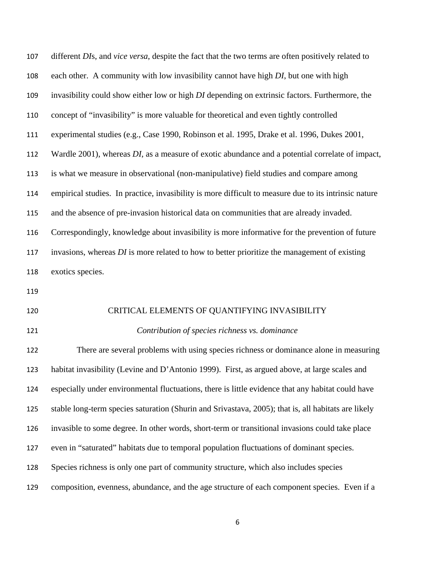| 107 | different DIs, and vice versa, despite the fact that the two terms are often positively related to    |  |  |
|-----|-------------------------------------------------------------------------------------------------------|--|--|
| 108 | each other. A community with low invasibility cannot have high DI, but one with high                  |  |  |
| 109 | invasibility could show either low or high DI depending on extrinsic factors. Furthermore, the        |  |  |
| 110 | concept of "invasibility" is more valuable for theoretical and even tightly controlled                |  |  |
| 111 | experimental studies (e.g., Case 1990, Robinson et al. 1995, Drake et al. 1996, Dukes 2001,           |  |  |
| 112 | Wardle 2001), whereas DI, as a measure of exotic abundance and a potential correlate of impact,       |  |  |
| 113 | is what we measure in observational (non-manipulative) field studies and compare among                |  |  |
| 114 | empirical studies. In practice, invasibility is more difficult to measure due to its intrinsic nature |  |  |
| 115 | and the absence of pre-invasion historical data on communities that are already invaded.              |  |  |
| 116 | Correspondingly, knowledge about invasibility is more informative for the prevention of future        |  |  |
| 117 | invasions, whereas DI is more related to how to better prioritize the management of existing          |  |  |
| 118 | exotics species.                                                                                      |  |  |
| 119 |                                                                                                       |  |  |
| 120 | CRITICAL ELEMENTS OF QUANTIFYING INVASIBILITY                                                         |  |  |
| 121 | Contribution of species richness vs. dominance                                                        |  |  |
| 122 | There are several problems with using species richness or dominance alone in measuring                |  |  |
| 123 | habitat invasibility (Levine and D'Antonio 1999). First, as argued above, at large scales and         |  |  |
| 124 | especially under environmental fluctuations, there is little evidence that any habitat could have     |  |  |
| 125 | stable long-term species saturation (Shurin and Srivastava, 2005); that is, all habitats are likely   |  |  |
| 126 | invasible to some degree. In other words, short-term or transitional invasions could take place       |  |  |
| 127 | even in "saturated" habitats due to temporal population fluctuations of dominant species.             |  |  |
| 128 | Species richness is only one part of community structure, which also includes species                 |  |  |
| 129 | composition, evenness, abundance, and the age structure of each component species. Even if a          |  |  |
|     |                                                                                                       |  |  |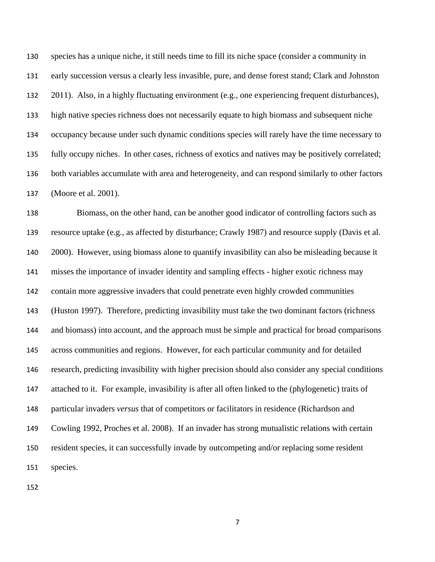species has a unique niche, it still needs time to fill its niche space (consider a community in early succession versus a clearly less invasible, pure, and dense forest stand; Clark and Johnston 2011). Also, in a highly fluctuating environment (e.g., one experiencing frequent disturbances), high native species richness does not necessarily equate to high biomass and subsequent niche occupancy because under such dynamic conditions species will rarely have the time necessary to fully occupy niches. In other cases, richness of exotics and natives may be positively correlated; both variables accumulate with area and heterogeneity, and can respond similarly to other factors (Moore et al. 2001).

Biomass, on the other hand, can be another good indicator of controlling factors such as resource uptake (e.g., as affected by disturbance; Crawly 1987) and resource supply (Davis et al. 2000). However, using biomass alone to quantify invasibility can also be misleading because it misses the importance of invader identity and sampling effects - higher exotic richness may contain more aggressive invaders that could penetrate even highly crowded communities (Huston 1997). Therefore, predicting invasibility must take the two dominant factors (richness and biomass) into account, and the approach must be simple and practical for broad comparisons across communities and regions. However, for each particular community and for detailed research, predicting invasibility with higher precision should also consider any special conditions attached to it. For example, invasibility is after all often linked to the (phylogenetic) traits of particular invaders *versus* that of competitors or facilitators in residence (Richardson and Cowling 1992, Proches et al. 2008). If an invader has strong mutualistic relations with certain resident species, it can successfully invade by outcompeting and/or replacing some resident species.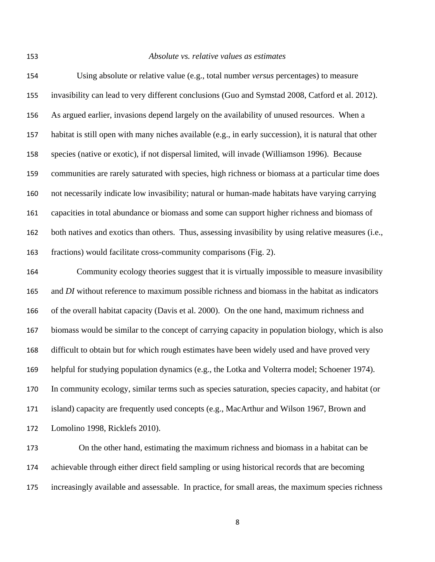# *Absolute vs. relative values as estimates*

| 154 | Using absolute or relative value (e.g., total number versus percentages) to measure                    |
|-----|--------------------------------------------------------------------------------------------------------|
| 155 | invasibility can lead to very different conclusions (Guo and Symstad 2008, Catford et al. 2012).       |
| 156 | As argued earlier, invasions depend largely on the availability of unused resources. When a            |
| 157 | habitat is still open with many niches available (e.g., in early succession), it is natural that other |
| 158 | species (native or exotic), if not dispersal limited, will invade (Williamson 1996). Because           |
| 159 | communities are rarely saturated with species, high richness or biomass at a particular time does      |
| 160 | not necessarily indicate low invasibility; natural or human-made habitats have varying carrying        |
| 161 | capacities in total abundance or biomass and some can support higher richness and biomass of           |
| 162 | both natives and exotics than others. Thus, assessing invasibility by using relative measures (i.e.,   |
| 163 | fractions) would facilitate cross-community comparisons (Fig. 2).                                      |
| 164 | Community ecology theories suggest that it is virtually impossible to measure invasibility             |
| 165 | and DI without reference to maximum possible richness and biomass in the habitat as indicators         |
| 166 | of the overall habitat capacity (Davis et al. 2000). On the one hand, maximum richness and             |
| 167 | biomass would be similar to the concept of carrying capacity in population biology, which is also      |
| 168 | difficult to obtain but for which rough estimates have been widely used and have proved very           |
| 169 | helpful for studying population dynamics (e.g., the Lotka and Volterra model; Schoener 1974).          |
| 170 | In community ecology, similar terms such as species saturation, species capacity, and habitat (or      |
| 171 | island) capacity are frequently used concepts (e.g., MacArthur and Wilson 1967, Brown and              |
| 172 | Lomolino 1998, Ricklefs 2010).                                                                         |
| 173 | On the other hand, estimating the maximum richness and biomass in a habitat can be                     |

achievable through either direct field sampling or using historical records that are becoming increasingly available and assessable. In practice, for small areas, the maximum species richness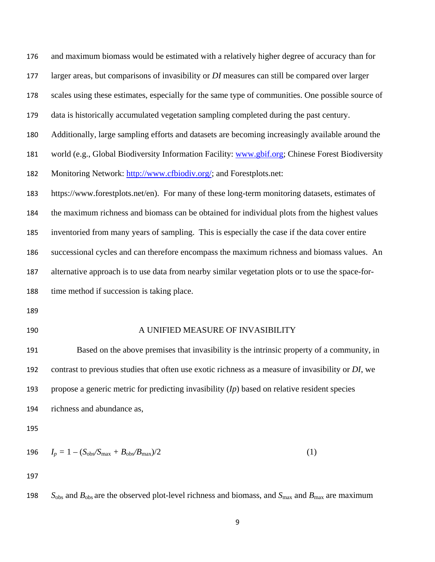| 176 | and maximum biomass would be estimated with a relatively higher degree of accuracy than for        |  |  |  |
|-----|----------------------------------------------------------------------------------------------------|--|--|--|
| 177 | larger areas, but comparisons of invasibility or DI measures can still be compared over larger     |  |  |  |
| 178 | scales using these estimates, especially for the same type of communities. One possible source of  |  |  |  |
| 179 | data is historically accumulated vegetation sampling completed during the past century.            |  |  |  |
| 180 | Additionally, large sampling efforts and datasets are becoming increasingly available around the   |  |  |  |
| 181 | world (e.g., Global Biodiversity Information Facility: www.gbif.org; Chinese Forest Biodiversity   |  |  |  |
| 182 | Monitoring Network: http://www.cfbiodiv.org/; and Forestplots.net:                                 |  |  |  |
| 183 | https://www.forestplots.net/en). For many of these long-term monitoring datasets, estimates of     |  |  |  |
| 184 | the maximum richness and biomass can be obtained for individual plots from the highest values      |  |  |  |
| 185 | inventoried from many years of sampling. This is especially the case if the data cover entire      |  |  |  |
| 186 | successional cycles and can therefore encompass the maximum richness and biomass values. An        |  |  |  |
| 187 | alternative approach is to use data from nearby similar vegetation plots or to use the space-for-  |  |  |  |
| 188 | time method if succession is taking place.                                                         |  |  |  |
| 189 |                                                                                                    |  |  |  |
| 190 | A UNIFIED MEASURE OF INVASIBILITY                                                                  |  |  |  |
| 191 | Based on the above premises that invasibility is the intrinsic property of a community, in         |  |  |  |
| 192 | contrast to previous studies that often use exotic richness as a measure of invasibility or DI, we |  |  |  |
| 193 | propose a generic metric for predicting invasibility $(I_p)$ based on relative resident species    |  |  |  |
| 194 | richness and abundance as,                                                                         |  |  |  |
| 195 |                                                                                                    |  |  |  |
| 196 | (1)<br>$I_p = 1 - (S_{\text{obs}}/S_{\text{max}} + B_{\text{obs}}/B_{\text{max}})/2$               |  |  |  |
| 197 |                                                                                                    |  |  |  |
|     |                                                                                                    |  |  |  |

198 *S*<sub>obs</sub> and  $B_{obs}$  are the observed plot-level richness and biomass, and  $S_{max}$  and  $B_{max}$  are maximum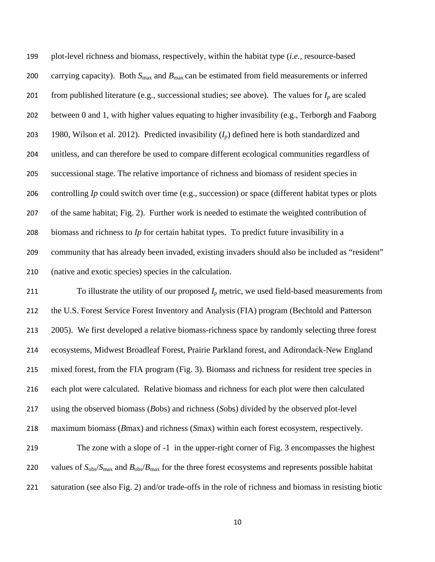plot-level richness and biomass, respectively, within the habitat type (*i.e.*, resource-based 200 carrying capacity). Both  $S_{\text{max}}$  and  $B_{\text{max}}$  can be estimated from field measurements or inferred 201 from published literature (e.g., successional studies; see above). The values for  $I_p$  are scaled between 0 and 1, with higher values equating to higher invasibility (e.g., Terborgh and Faaborg 1980, Wilson et al. 2012). Predicted invasibility (*Ip*) defined here is both standardized and unitless, and can therefore be used to compare different ecological communities regardless of successional stage. The relative importance of richness and biomass of resident species in controlling *Ip* could switch over time (e.g., succession) or space (different habitat types or plots of the same habitat; Fig. 2). Further work is needed to estimate the weighted contribution of biomass and richness to *Ip* for certain habitat types. To predict future invasibility in a community that has already been invaded, existing invaders should also be included as "resident" (native and exotic species) species in the calculation.

211 To illustrate the utility of our proposed  $I<sub>p</sub>$  metric, we used field-based measurements from the U.S. Forest Service Forest Inventory and Analysis (FIA) program (Bechtold and Patterson 2005). We first developed a relative biomass-richness space by randomly selecting three forest ecosystems, Midwest Broadleaf Forest, Prairie Parkland forest, and Adirondack-New England mixed forest, from the FIA program (Fig. 3). Biomass and richness for resident tree species in each plot were calculated. Relative biomass and richness for each plot were then calculated using the observed biomass (*B*obs) and richness (*S*obs) divided by the observed plot-level maximum biomass (*B*max) and richness (*S*max) within each forest ecosystem, respectively.

The zone with a slope of -1 in the upper-right corner of Fig. 3 encompasses the highest 220 values of  $S_{\text{obs}}/S_{\text{max}}$  and  $B_{\text{obs}}/B_{\text{max}}$  for the three forest ecosystems and represents possible habitat saturation (see also Fig. 2) and/or trade-offs in the role of richness and biomass in resisting biotic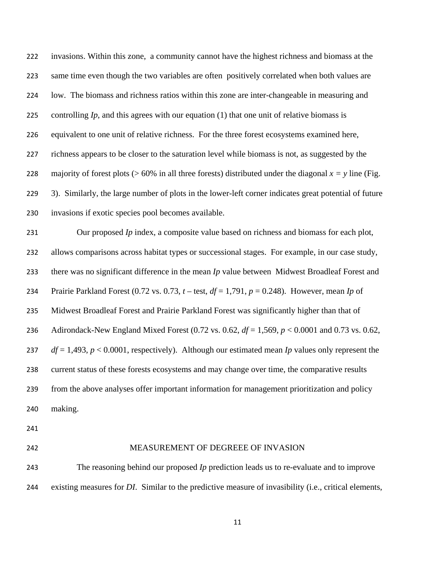invasions. Within this zone, a community cannot have the highest richness and biomass at the same time even though the two variables are often positively correlated when both values are low. The biomass and richness ratios within this zone are inter-changeable in measuring and controlling *Ip*, and this agrees with our equation (1) that one unit of relative biomass is equivalent to one unit of relative richness. For the three forest ecosystems examined here, richness appears to be closer to the saturation level while biomass is not, as suggested by the 228 majority of forest plots ( $> 60\%$  in all three forests) distributed under the diagonal  $x = y$  line (Fig. 3). Similarly, the large number of plots in the lower-left corner indicates great potential of future invasions if exotic species pool becomes available.

Our proposed *Ip* index, a composite value based on richness and biomass for each plot, allows comparisons across habitat types or successional stages. For example, in our case study, there was no significant difference in the mean *Ip* value between Midwest Broadleaf Forest and Prairie Parkland Forest (0.72 vs. 0.73, *t* – test, *df* = 1,791, *p* = 0.248). However, mean *Ip* of Midwest Broadleaf Forest and Prairie Parkland Forest was significantly higher than that of Adirondack-New England Mixed Forest (0.72 vs. 0.62, *df* = 1,569, *p* < 0.0001 and 0.73 vs. 0.62, *df* = 1,493, *p* < 0.0001, respectively). Although our estimated mean *Ip* values only represent the current status of these forests ecosystems and may change over time, the comparative results from the above analyses offer important information for management prioritization and policy making.

#### MEASUREMENT OF DEGREEE OF INVASION

The reasoning behind our proposed *Ip* prediction leads us to re-evaluate and to improve existing measures for *DI*. Similar to the predictive measure of invasibility (i.e., critical elements,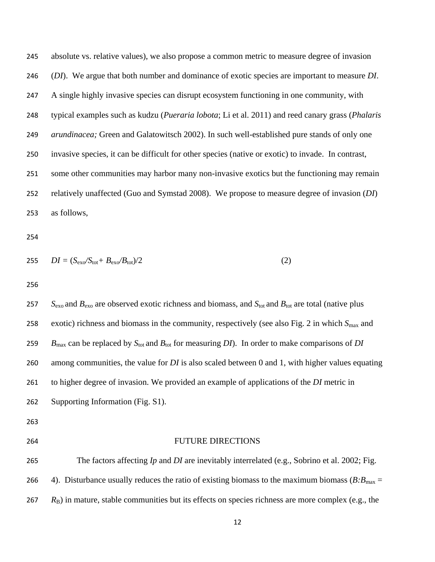absolute vs. relative values), we also propose a common metric to measure degree of invasion (*DI*). We argue that both number and dominance of exotic species are important to measure *DI*. A single highly invasive species can disrupt ecosystem functioning in one community, with typical examples such as kudzu (*Pueraria lobota*; Li et al. 2011) and reed canary grass (*Phalaris arundinacea;* Green and Galatowitsch 2002). In such well-established pure stands of only one invasive species, it can be difficult for other species (native or exotic) to invade. In contrast, some other communities may harbor many non-invasive exotics but the functioning may remain relatively unaffected (Guo and Symstad 2008). We propose to measure degree of invasion (*DI*) as follows,

$$
255 \tDI = (S_{\text{exo}}/S_{\text{tot}} + B_{\text{exo}}/B_{\text{tot}})/2 \t(2)
$$

*S*exo and *B*exo are observed exotic richness and biomass, and *S*tot and *B*tot are total (native plus 258 exotic) richness and biomass in the community, respectively (see also Fig. 2 in which  $S_{\text{max}}$  and *B*max can be replaced by *S*tot and *B*tot for measuring *DI*). In order to make comparisons of *DI* among communities, the value for *DI* is also scaled between 0 and 1, with higher values equating to higher degree of invasion. We provided an example of applications of the *DI* metric in Supporting Information (Fig. S1). FUTURE DIRECTIONS

The factors affecting *Ip* and *DI* are inevitably interrelated (e.g., Sobrino et al. 2002; Fig. 266 4). Disturbance usually reduces the ratio of existing biomass to the maximum biomass  $(B:B_{\text{max}} =$ *R*B) in mature, stable communities but its effects on species richness are more complex (e.g., the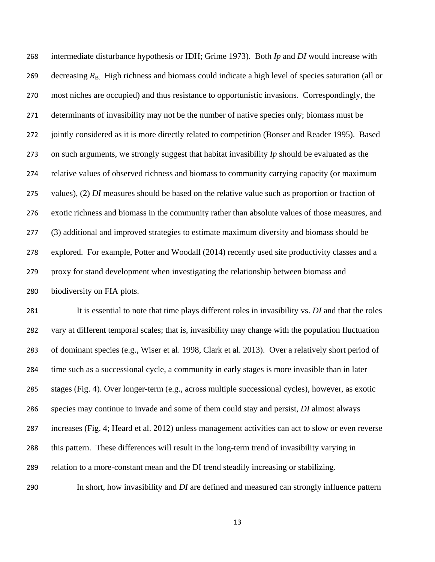intermediate disturbance hypothesis or IDH; Grime 1973). Both *Ip* and *DI* would increase with 269 decreasing  $R_{\text{B}}$ . High richness and biomass could indicate a high level of species saturation (all or most niches are occupied) and thus resistance to opportunistic invasions. Correspondingly, the determinants of invasibility may not be the number of native species only; biomass must be jointly considered as it is more directly related to competition (Bonser and Reader 1995). Based on such arguments, we strongly suggest that habitat invasibility *Ip* should be evaluated as the relative values of observed richness and biomass to community carrying capacity (or maximum values), (2) *DI* measures should be based on the relative value such as proportion or fraction of exotic richness and biomass in the community rather than absolute values of those measures, and (3) additional and improved strategies to estimate maximum diversity and biomass should be explored. For example, Potter and Woodall (2014) recently used site productivity classes and a proxy for stand development when investigating the relationship between biomass and biodiversity on FIA plots.

It is essential to note that time plays different roles in invasibility vs. *DI* and that the roles vary at different temporal scales; that is, invasibility may change with the population fluctuation of dominant species (e.g., Wiser et al. 1998, Clark et al. 2013). Over a relatively short period of time such as a successional cycle, a community in early stages is more invasible than in later stages (Fig. 4). Over longer-term (e.g., across multiple successional cycles), however, as exotic species may continue to invade and some of them could stay and persist, *DI* almost always increases (Fig. 4; Heard et al. 2012) unless management activities can act to slow or even reverse this pattern. These differences will result in the long-term trend of invasibility varying in relation to a more-constant mean and the DI trend steadily increasing or stabilizing.

In short, how invasibility and *DI* are defined and measured can strongly influence pattern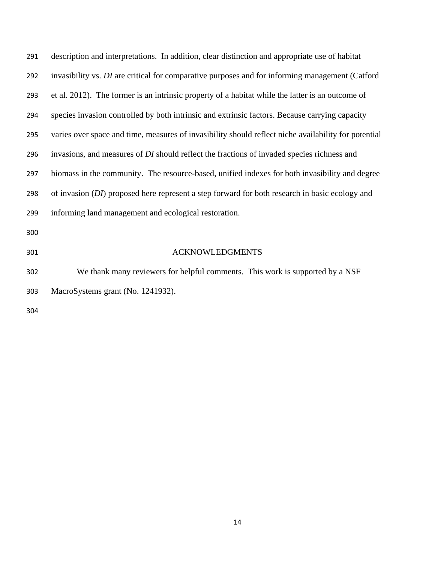| 291 | description and interpretations. In addition, clear distinction and appropriate use of habitat       |  |  |  |
|-----|------------------------------------------------------------------------------------------------------|--|--|--|
| 292 | invasibility vs. DI are critical for comparative purposes and for informing management (Catford      |  |  |  |
| 293 | et al. 2012). The former is an intrinsic property of a habitat while the latter is an outcome of     |  |  |  |
| 294 | species invasion controlled by both intrinsic and extrinsic factors. Because carrying capacity       |  |  |  |
| 295 | varies over space and time, measures of invasibility should reflect niche availability for potential |  |  |  |
| 296 | invasions, and measures of DI should reflect the fractions of invaded species richness and           |  |  |  |
| 297 | biomass in the community. The resource-based, unified indexes for both invasibility and degree       |  |  |  |
| 298 | of invasion (DI) proposed here represent a step forward for both research in basic ecology and       |  |  |  |
| 299 | informing land management and ecological restoration.                                                |  |  |  |
| 300 |                                                                                                      |  |  |  |
| 301 | <b>ACKNOWLEDGMENTS</b>                                                                               |  |  |  |
| 302 | We thank many reviewers for helpful comments. This work is supported by a NSF                        |  |  |  |

- MacroSystems grant (No. 1241932).
-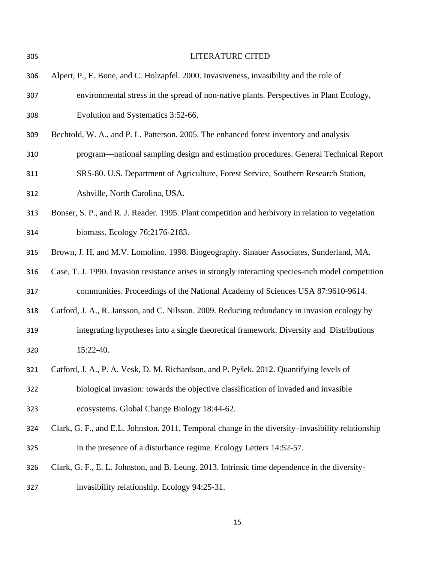| 305 | <b>LITERATURE CITED</b>                                                                             |  |
|-----|-----------------------------------------------------------------------------------------------------|--|
| 306 | Alpert, P., E. Bone, and C. Holzapfel. 2000. Invasiveness, invasibility and the role of             |  |
| 307 | environmental stress in the spread of non-native plants. Perspectives in Plant Ecology,             |  |
| 308 | Evolution and Systematics 3:52-66.                                                                  |  |
| 309 | Bechtold, W. A., and P. L. Patterson. 2005. The enhanced forest inventory and analysis              |  |
| 310 | program—national sampling design and estimation procedures. General Technical Report                |  |
| 311 | SRS-80. U.S. Department of Agriculture, Forest Service, Southern Research Station,                  |  |
| 312 | Ashville, North Carolina, USA.                                                                      |  |
| 313 | Bonser, S. P., and R. J. Reader. 1995. Plant competition and herbivory in relation to vegetation    |  |
| 314 | biomass. Ecology 76:2176-2183.                                                                      |  |
| 315 | Brown, J. H. and M.V. Lomolino. 1998. Biogeography. Sinauer Associates, Sunderland, MA.             |  |
| 316 | Case, T. J. 1990. Invasion resistance arises in strongly interacting species-rich model competition |  |
| 317 | communities. Proceedings of the National Academy of Sciences USA 87:9610-9614.                      |  |
| 318 | Catford, J. A., R. Jansson, and C. Nilsson. 2009. Reducing redundancy in invasion ecology by        |  |
| 319 | integrating hypotheses into a single theoretical framework. Diversity and Distributions             |  |
| 320 | 15:22-40.                                                                                           |  |
| 321 | Catford, J. A., P. A. Vesk, D. M. Richardson, and P. Pyšek. 2012. Quantifying levels of             |  |
| 322 | biological invasion: towards the objective classification of invaded and invasible                  |  |
| 323 | ecosystems. Global Change Biology 18:44-62.                                                         |  |
| 324 | Clark, G. F., and E.L. Johnston. 2011. Temporal change in the diversity–invasibility relationship   |  |
| 325 | in the presence of a disturbance regime. Ecology Letters 14:52-57.                                  |  |
| 326 | Clark, G. F., E. L. Johnston, and B. Leung. 2013. Intrinsic time dependence in the diversity-       |  |
| 327 | invasibility relationship. Ecology 94:25-31.                                                        |  |
|     |                                                                                                     |  |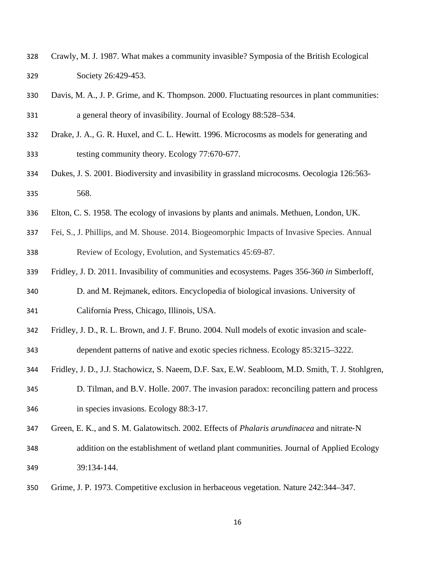- Crawly, M. J. 1987. What makes a community invasible? Symposia of the British Ecological Society 26:429-453.
- Davis, M. A., J. P. Grime, and K. Thompson. 2000. Fluctuating resources in plant communities: a general theory of invasibility. Journal of Ecology 88:528–534.
- Drake, J. A., G. R. Huxel, and C. L. Hewitt. 1996. Microcosms as models for generating and testing community theory. Ecology 77:670-677.
- Dukes, J. S. 2001. Biodiversity and invasibility in grassland microcosms. Oecologia 126:563- 568.
- Elton, C. S. 1958. The ecology of invasions by plants and animals. Methuen, London, UK.
- Fei, S., J. Phillips, and M. Shouse. 2014. Biogeomorphic Impacts of Invasive Species. Annual Review of Ecology, Evolution, and Systematics 45:69-87.
- Fridley, J. D. 2011. Invasibility of communities and ecosystems. Pages 356-360 *in* Simberloff,
- D. and M. Rejmanek, editors. Encyclopedia of biological invasions. University of California Press, Chicago, Illinois, USA.
- Fridley, J. D., R. L. Brown, and J. F. Bruno. 2004. Null models of exotic invasion and scale-
- dependent patterns of native and exotic species richness. Ecology 85:3215–3222.
- Fridley, J. D., J.J. Stachowicz, S. Naeem, D.F. Sax, E.W. Seabloom, M.D. Smith, T. J. Stohlgren,
- D. Tilman, and B.V. Holle. 2007. The invasion paradox: reconciling pattern and process in species invasions. Ecology 88:3-17.
- Green, E. K., and S. M. Galatowitsch. 2002. Effects of *Phalaris arundinacea* and nitrate‐N
- addition on the establishment of wetland plant communities. Journal of Applied Ecology 39:134-144.
- Grime, J. P. 1973. Competitive exclusion in herbaceous vegetation. Nature 242:344–347.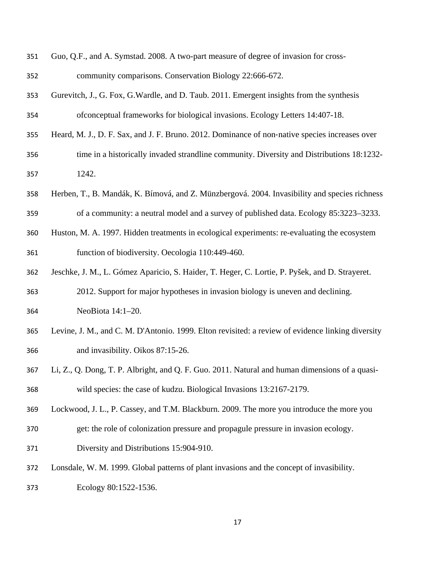- Guo, Q.F., and A. Symstad. 2008. A two-part measure of degree of invasion for cross-community comparisons. Conservation Biology 22:666-672.
- Gurevitch, J., G. Fox, G.Wardle, and D. Taub. 2011. Emergent insights from the synthesis ofconceptual frameworks for biological invasions. Ecology Letters 14:407-18.
- 355 Heard, M. J., D. F. Sax, and J. F. Bruno. 2012. Dominance of non-native species increases over
- time in a historically invaded strandline community. Diversity and Distributions 18:1232- 1242.
- Herben, T., B. Mandák, K. Bímová, and Z. Münzbergová. 2004. Invasibility and species richness of a community: a neutral model and a survey of published data. Ecology 85:3223–3233.
- Huston, M. A. 1997. Hidden treatments in ecological experiments: re-evaluating the ecosystem function of biodiversity. Oecologia 110:449-460.
- Jeschke, J. M., L. Gómez Aparicio, S. Haider, T. Heger, C. Lortie, P. Pyšek, and D. Strayeret.

2012. Support for major hypotheses in invasion biology is uneven and declining. NeoBiota 14:1–20.

- Levine, J. M., and C. M. D'Antonio. 1999. Elton revisited: a review of evidence linking diversity and invasibility. Oikos 87:15-26.
- Li, Z., Q. Dong, T. P. Albright, and Q. F. Guo. 2011. Natural and human dimensions of a quasi-wild species: the case of kudzu. Biological Invasions 13:2167-2179.
- Lockwood, J. L., P. Cassey, and T.M. Blackburn. 2009. The more you introduce the more you
- get: the role of colonization pressure and propagule pressure in invasion ecology.
- Diversity and Distributions 15:904-910.
- Lonsdale, W. M. 1999. Global patterns of plant invasions and the concept of invasibility.
- Ecology 80:1522-1536.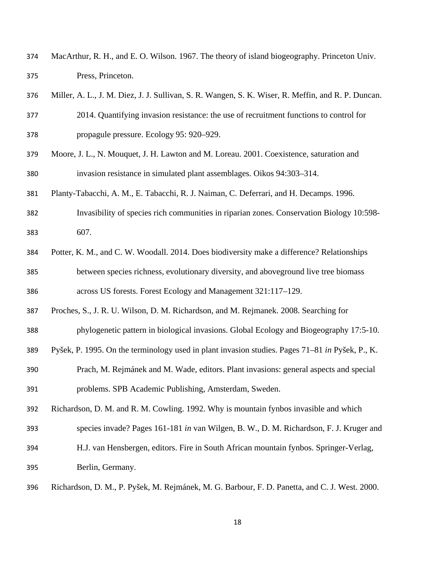- MacArthur, R. H., and E. O. Wilson. 1967. The theory of island biogeography. Princeton Univ. Press, Princeton.
- Miller, A. L., J. M. Diez, J. J. Sullivan, S. R. Wangen, S. K. Wiser, R. Meffin, and R. P. Duncan.
- 2014. Quantifying invasion resistance: the use of recruitment functions to control for propagule pressure. Ecology 95: 920–929.
- Moore, J. L., N. Mouquet, J. H. Lawton and M. Loreau. 2001. Coexistence, saturation and invasion resistance in simulated plant assemblages. Oikos 94:303–314.
- Planty-Tabacchi, A. M., E. Tabacchi, R. J. Naiman, C. Deferrari, and H. Decamps. 1996.
- Invasibility of species rich communities in riparian zones. Conservation Biology 10:598- 607.
- Potter, K. M., and C. W. Woodall. 2014. Does biodiversity make a difference? Relationships between species richness, evolutionary diversity, and aboveground live tree biomass across US forests. Forest Ecology and Management 321:117–129.
- Proches, S., J. R. U. Wilson, D. M. Richardson, and M. Rejmanek. 2008. Searching for
- phylogenetic pattern in biological invasions. Global Ecology and Biogeography 17:5-10.
- Pyšek, P. 1995. On the terminology used in plant invasion studies. Pages 71–81 *in* Pyšek, P., K.
- Prach, M. Rejmánek and M. Wade, editors. Plant invasions: general aspects and special problems. SPB Academic Publishing, Amsterdam, Sweden.
- Richardson, D. M. and R. M. Cowling. 1992. Why is mountain fynbos invasible and which
- species invade? Pages 161-181 *in* van Wilgen, B. W., D. M. Richardson, F. J. Kruger and
- H.J. van Hensbergen, editors. Fire in South African mountain fynbos. Springer-Verlag, Berlin, Germany.
- Richardson, D. M., P. Pyšek, M. Rejmánek, M. G. Barbour, F. D. Panetta, and C. J. West. 2000.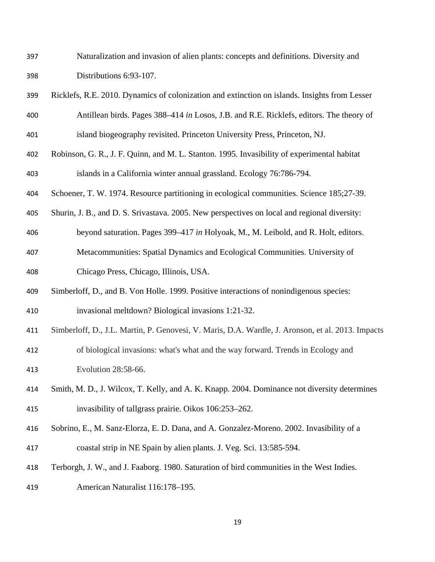- Naturalization and invasion of alien plants: concepts and definitions. Diversity and Distributions 6:93-107.
- Ricklefs, R.E. 2010. Dynamics of colonization and extinction on islands. Insights from Lesser Antillean birds. Pages 388–414 *in* Losos, J.B. and R.E. Ricklefs, editors. The theory of island biogeography revisited. Princeton University Press, Princeton, NJ.
- Robinson, G. R., J. F. Quinn, and M. L. Stanton. 1995. Invasibility of experimental habitat islands in a California winter annual grassland. Ecology 76:786-794.
- Schoener, T. W. 1974. Resource partitioning in ecological communities. Science 185;27-39.
- Shurin, J. B., and D. S. Srivastava. 2005. New perspectives on local and regional diversity:
- beyond saturation. Pages 399–417 *in* Holyoak, M., M. Leibold, and R. Holt, editors.
- Metacommunities: Spatial Dynamics and Ecological Communities. University of Chicago Press, Chicago, Illinois, USA.
- Simberloff, D., and B. Von Holle. 1999. Positive interactions of nonindigenous species: invasional meltdown? Biological invasions 1:21-32.
- Simberloff, D., J.L. Martin, P. Genovesi, V. Maris, D.A. Wardle, J. Aronson, et al. 2013. Impacts
- of biological invasions: what's what and the way forward. Trends in Ecology and Evolution 28:58-66.
- Smith, M. D., J. Wilcox, T. Kelly, and A. K. Knapp. 2004. Dominance not diversity determines invasibility of tallgrass prairie. Oikos 106:253–262.
- Sobrino, E., M. Sanz-Elorza, E. D. Dana, and A. Gonzalez-Moreno. 2002. Invasibility of a coastal strip in NE Spain by alien plants. J. Veg. Sci. 13:585-594.
- Terborgh, J. W., and J. Faaborg. 1980. Saturation of bird communities in the West Indies.
- American Naturalist 116:178–195.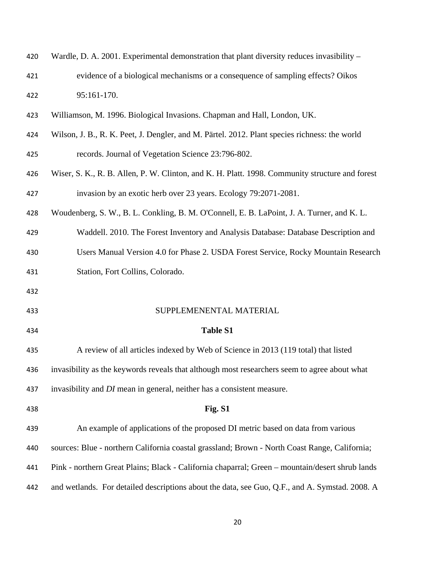| 420 | Wardle, D. A. 2001. Experimental demonstration that plant diversity reduces invasibility -      |  |  |  |
|-----|-------------------------------------------------------------------------------------------------|--|--|--|
| 421 | evidence of a biological mechanisms or a consequence of sampling effects? Oikos                 |  |  |  |
| 422 | 95:161-170.                                                                                     |  |  |  |
| 423 | Williamson, M. 1996. Biological Invasions. Chapman and Hall, London, UK.                        |  |  |  |
| 424 | Wilson, J. B., R. K. Peet, J. Dengler, and M. Pärtel. 2012. Plant species richness: the world   |  |  |  |
| 425 | records. Journal of Vegetation Science 23:796-802.                                              |  |  |  |
| 426 | Wiser, S. K., R. B. Allen, P. W. Clinton, and K. H. Platt. 1998. Community structure and forest |  |  |  |
| 427 | invasion by an exotic herb over 23 years. Ecology 79:2071-2081.                                 |  |  |  |
| 428 | Woudenberg, S. W., B. L. Conkling, B. M. O'Connell, E. B. LaPoint, J. A. Turner, and K. L.      |  |  |  |
| 429 | Waddell. 2010. The Forest Inventory and Analysis Database: Database Description and             |  |  |  |
| 430 | Users Manual Version 4.0 for Phase 2. USDA Forest Service, Rocky Mountain Research              |  |  |  |
| 431 | Station, Fort Collins, Colorado.                                                                |  |  |  |
| 432 |                                                                                                 |  |  |  |
| 433 | SUPPLEMENENTAL MATERIAL                                                                         |  |  |  |
| 434 | <b>Table S1</b>                                                                                 |  |  |  |
| 435 | A review of all articles indexed by Web of Science in 2013 (119 total) that listed              |  |  |  |
| 436 | invasibility as the keywords reveals that although most researchers seem to agree about what    |  |  |  |
| 437 | invasibility and <i>DI</i> mean in general, neither has a consistent measure.                   |  |  |  |
| 438 | Fig. S1                                                                                         |  |  |  |
| 439 | An example of applications of the proposed DI metric based on data from various                 |  |  |  |
| 440 | sources: Blue - northern California coastal grassland; Brown - North Coast Range, California;   |  |  |  |
| 441 | Pink - northern Great Plains; Black - California chaparral; Green - mountain/desert shrub lands |  |  |  |
| 442 | and wetlands. For detailed descriptions about the data, see Guo, Q.F., and A. Symstad. 2008. A  |  |  |  |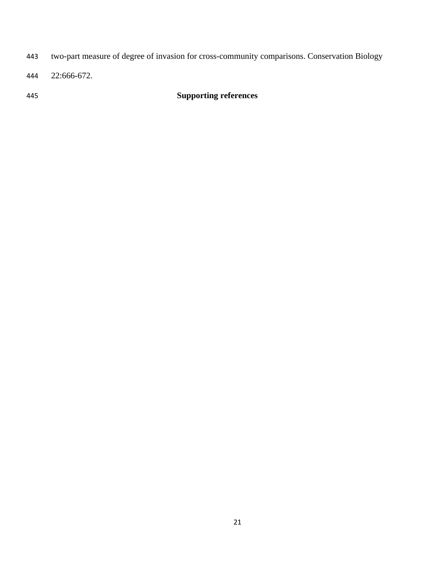- two-part measure of degree of invasion for cross-community comparisons. Conservation Biology
- 22:666-672.

# **Supporting references**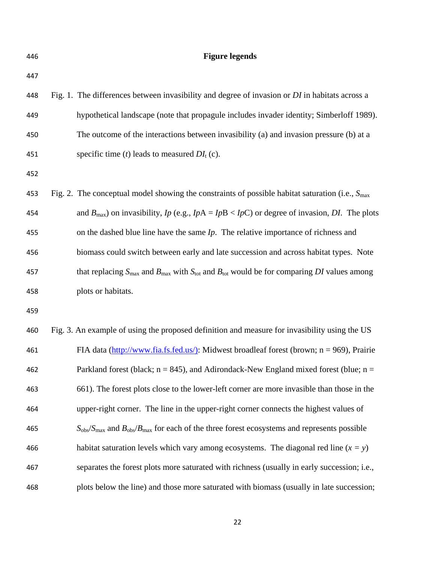**Figure legends**  Fig. 1. The differences between invasibility and degree of invasion or *DI* in habitats across a hypothetical landscape (note that propagule includes invader identity; Simberloff 1989). The outcome of the interactions between invasibility (a) and invasion pressure (b) at a 451 specific time (*t*) leads to measured  $DI_t$  (c). Fig. 2. The conceptual model showing the constraints of possible habitat saturation (i.e., *S*max 454 and  $B_{\text{max}}$ ) on invasibility,  $I_p$  (e.g.,  $I_pA = I_pB < I_pC$ ) or degree of invasion, *DI*. The plots on the dashed blue line have the same *Ip*. The relative importance of richness and biomass could switch between early and late succession and across habitat types. Note 457 that replacing  $S_{\text{max}}$  and  $B_{\text{max}}$  with  $S_{\text{tot}}$  and  $B_{\text{tot}}$  would be for comparing *DI* values among plots or habitats. Fig. 3. An example of using the proposed definition and measure for invasibility using the US FIA data (http://www.fia.fs.fed.us/): Midwest broadleaf forest (brown; n = 969), Prairie 462 Parkland forest (black;  $n = 845$ ), and Adirondack-New England mixed forest (blue;  $n =$ 661). The forest plots close to the lower-left corner are more invasible than those in the upper-right corner. The line in the upper-right corner connects the highest values of  $S_{\text{obs}}/S_{\text{max}}$  and  $B_{\text{obs}}/B_{\text{max}}$  for each of the three forest ecosystems and represents possible 466 habitat saturation levels which vary among ecosystems. The diagonal red line  $(x = y)$ separates the forest plots more saturated with richness (usually in early succession; i.e., plots below the line) and those more saturated with biomass (usually in late succession;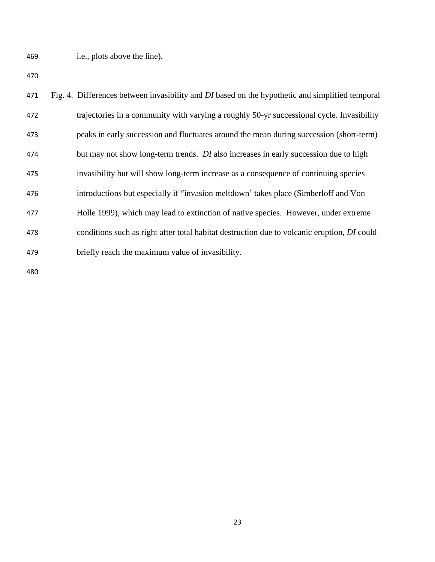i.e., plots above the line).

| 471 | Fig. 4. Differences between invasibility and DI based on the hypothetic and simplified temporal    |  |
|-----|----------------------------------------------------------------------------------------------------|--|
| 472 | trajectories in a community with varying a roughly 50-yr successional cycle. Invasibility          |  |
| 473 | peaks in early succession and fluctuates around the mean during succession (short-term)            |  |
| 474 | but may not show long-term trends. <i>DI</i> also increases in early succession due to high        |  |
| 475 | invasibility but will show long-term increase as a consequence of continuing species               |  |
| 476 | introductions but especially if "invasion meltdown' takes place (Simberloff and Von                |  |
| 477 | Holle 1999), which may lead to extinction of native species. However, under extreme                |  |
| 478 | conditions such as right after total habitat destruction due to volcanic eruption, <i>DI</i> could |  |
| 479 | briefly reach the maximum value of invasibility.                                                   |  |
|     |                                                                                                    |  |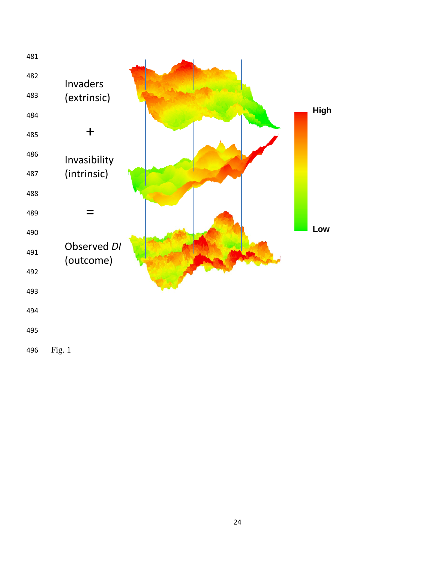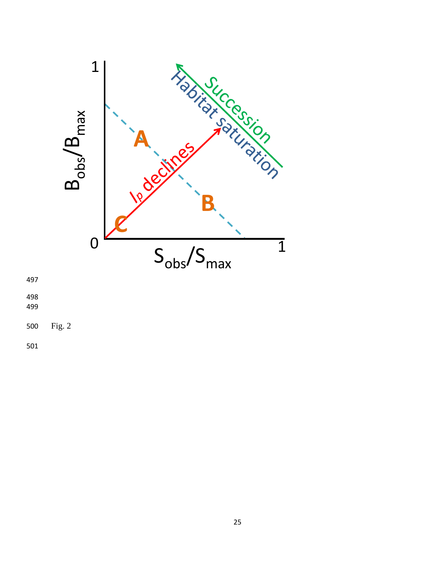

Fig. 2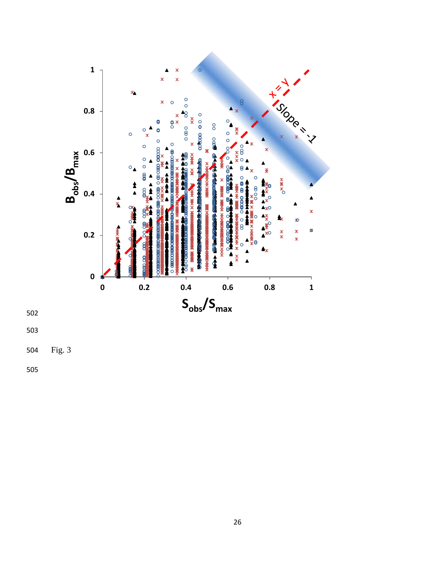

504 Fig. 3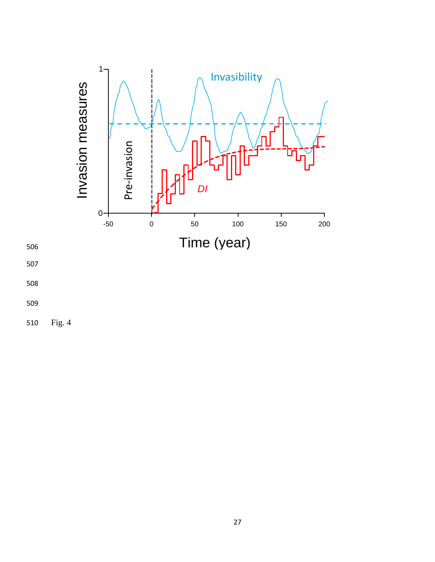

506

507

508

510 Fig. 4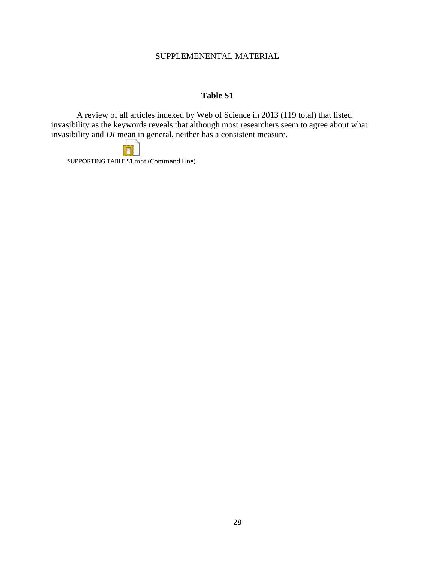### SUPPLEMENENTAL MATERIAL

## **Table S1**

A review of all articles indexed by Web of Science in 2013 (119 total) that listed invasibility as the keywords reveals that although most researchers seem to agree about what invasibility and *DI* mean in general, neither has a consistent measure.

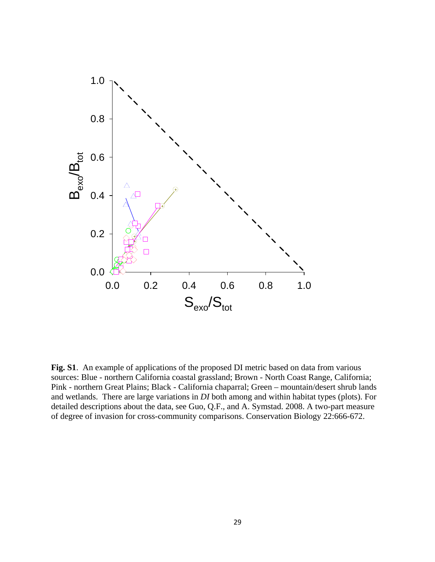

**Fig. S1**. An example of applications of the proposed DI metric based on data from various sources: Blue - northern California coastal grassland; Brown - North Coast Range, California; Pink - northern Great Plains; Black - California chaparral; Green – mountain/desert shrub lands and wetlands. There are large variations in *DI* both among and within habitat types (plots). For detailed descriptions about the data, see Guo, Q.F., and A. Symstad. 2008. A two-part measure of degree of invasion for cross-community comparisons. Conservation Biology 22:666-672.